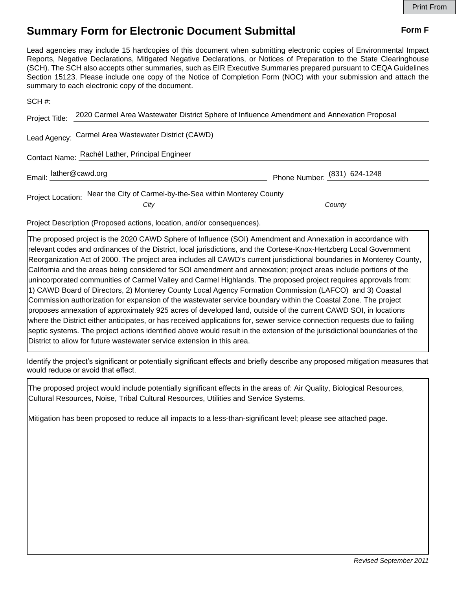## **Summary Form for Electronic Document Submittal Form F Form F**

Lead agencies may include 15 hardcopies of this document when submitting electronic copies of Environmental Impact Reports, Negative Declarations, Mitigated Negative Declarations, or Notices of Preparation to the State Clearinghouse (SCH). The SCH also accepts other summaries, such as EIR Executive Summaries prepared pursuant to CEQA Guidelines Section 15123. Please include one copy of the Notice of Completion Form (NOC) with your submission and attach the summary to each electronic copy of the document.

| Project Title:                                  | 2020 Carmel Area Wastewater District Sphere of Influence Amendment and Annexation Proposal |                              |
|-------------------------------------------------|--------------------------------------------------------------------------------------------|------------------------------|
|                                                 | Lead Agency: Carmel Area Wastewater District (CAWD)                                        |                              |
| Contact Name: Rachél Lather, Principal Engineer |                                                                                            |                              |
|                                                 | Email: lather@cawd.org                                                                     | Phone Number: (831) 624-1248 |
|                                                 | Project Location: Near the City of Carmel-by-the-Sea within Monterey County                |                              |
|                                                 | City                                                                                       | County                       |

Project Description (Proposed actions, location, and/or consequences).

The proposed project is the 2020 CAWD Sphere of Influence (SOI) Amendment and Annexation in accordance with relevant codes and ordinances of the District, local jurisdictions, and the Cortese-Knox-Hertzberg Local Government Reorganization Act of 2000. The project area includes all CAWD's current jurisdictional boundaries in Monterey County, California and the areas being considered for SOI amendment and annexation; project areas include portions of the unincorporated communities of Carmel Valley and Carmel Highlands. The proposed project requires approvals from: 1) CAWD Board of Directors, 2) Monterey County Local Agency Formation Commission (LAFCO) and 3) Coastal Commission authorization for expansion of the wastewater service boundary within the Coastal Zone. The project proposes annexation of approximately 925 acres of developed land, outside of the current CAWD SOI, in locations where the District either anticipates, or has received applications for, sewer service connection requests due to failing septic systems. The project actions identified above would result in the extension of the jurisdictional boundaries of the District to allow for future wastewater service extension in this area.

Identify the project's significant or potentially significant effects and briefly describe any proposed mitigation measures that would reduce or avoid that effect.

The proposed project would include potentially significant effects in the areas of: Air Quality, Biological Resources, Cultural Resources, Noise, Tribal Cultural Resources, Utilities and Service Systems.

Mitigation has been proposed to reduce all impacts to a less-than-significant level; please see attached page.